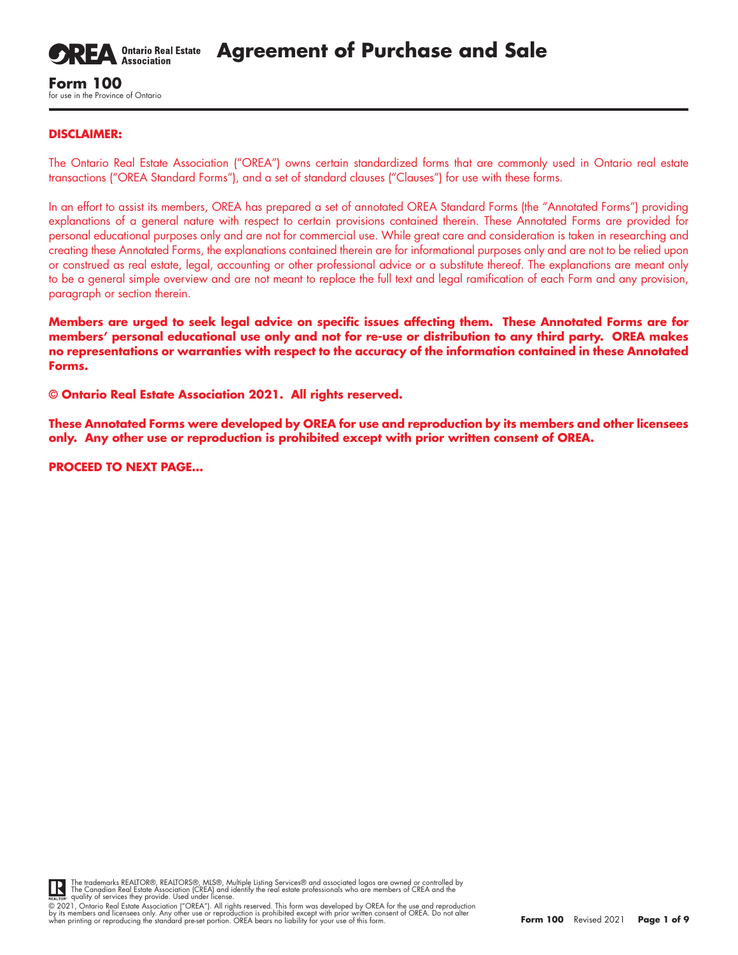

## **Agreement of Purchase and Sale**

**Form 100** for use in the Province of Ontario

### **DISCLAIMER:**

The Ontario Real Estate Association ("OREA") owns certain standardized forms that are commonly used in Ontario real estate transactions ("OREA Standard Forms"), and a set of standard clauses ("Clauses") for use with these forms.

In an effort to assist its members, OREA has prepared a set of annotated OREA Standard Forms (the "Annotated Forms") providing explanations of a general nature with respect to certain provisions contained therein. These Annotated Forms are provided for personal educational purposes only and are not for commercial use. While great care and consideration is taken in researching and creating these Annotated Forms, the explanations contained therein are for informational purposes only and are not to be relied upon or construed as real estate, legal, accounting or other professional advice or a substitute thereof. The explanations are meant only to be a general simple overview and are not meant to replace the full text and legal ramification of each Form and any provision, paragraph or section therein.

**Members are urged to seek legal advice on specific issues affecting them. These Annotated Forms are for members' personal educational use only and not for re-use or distribution to any third party. OREA makes no representations or warranties with respect to the accuracy of the information contained in these Annotated Forms.**

**© Ontario Real Estate Association 2021. All rights reserved.** 

**These Annotated Forms were developed by OREA for use and reproduction by its members and other licensees only. Any other use or reproduction is prohibited except with prior written consent of OREA.**

**PROCEED TO NEXT PAGE…**



The trademarks REALTOR®, REALTORS®, MLS®, Multiple Listing Services® and associated logos are owned or controlled by<br>The Canadian Real Estate Association (CREA) and identify the real estate professionals who are members of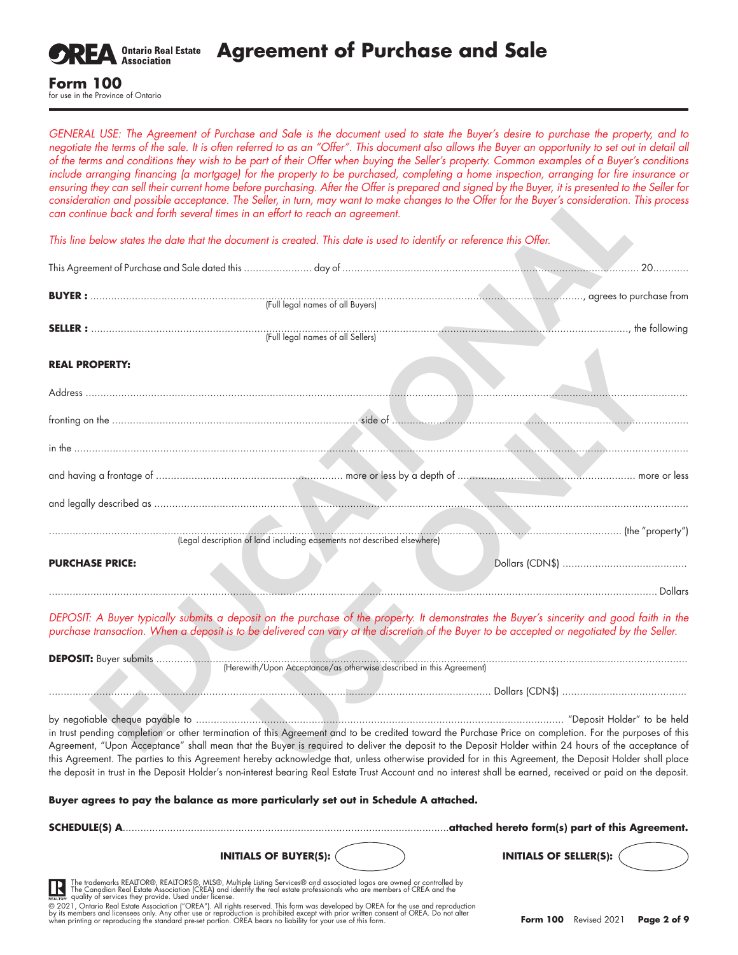**EXA** Ontario Real Estate **Association** 

**Agreement of Purchase and Sale**

**Form 100** for use in the Province of Ontario

*GENERAL USE: The Agreement of Purchase and Sale is the document used to state the Buyer's desire to purchase the property, and to negotiate the terms of the sale. It is often referred to as an "Offer". This document also allows the Buyer an opportunity to set out in detail all of the terms and conditions they wish to be part of their Offer when buying the Seller's property. Common examples of a Buyer's conditions include arranging financing (a mortgage) for the property to be purchased, completing a home inspection, arranging for fire insurance or ensuring they can sell their current home before purchasing. After the Offer is prepared and signed by the Buyer, it is presented to the Seller for consideration and possible acceptance. The Seller, in turn, may want to make changes to the Offer for the Buyer's consideration. This process can continue back and forth several times in an effort to reach an agreement.*

| can continue back and forth several times in an effort to reach an agreement.                                                           | consideration and possible acceptance. The Seller, in turn, may want to make changes to the Offer for the Buyer's consideration. This process                                                                                                                                                                  |  |
|-----------------------------------------------------------------------------------------------------------------------------------------|----------------------------------------------------------------------------------------------------------------------------------------------------------------------------------------------------------------------------------------------------------------------------------------------------------------|--|
|                                                                                                                                         | This line below states the date that the document is created. This date is used to identify or reference this Offer.                                                                                                                                                                                           |  |
|                                                                                                                                         |                                                                                                                                                                                                                                                                                                                |  |
| المستندين المستندين المستندين المستندين المستندين المستندين المستندين العالمين العالمين العالمين ال<br>[Full legal names of all Buyers] |                                                                                                                                                                                                                                                                                                                |  |
|                                                                                                                                         |                                                                                                                                                                                                                                                                                                                |  |
| <b>REAL PROPERTY:</b>                                                                                                                   |                                                                                                                                                                                                                                                                                                                |  |
|                                                                                                                                         |                                                                                                                                                                                                                                                                                                                |  |
|                                                                                                                                         |                                                                                                                                                                                                                                                                                                                |  |
|                                                                                                                                         |                                                                                                                                                                                                                                                                                                                |  |
|                                                                                                                                         |                                                                                                                                                                                                                                                                                                                |  |
|                                                                                                                                         |                                                                                                                                                                                                                                                                                                                |  |
|                                                                                                                                         |                                                                                                                                                                                                                                                                                                                |  |
| <b>PURCHASE PRICE:</b>                                                                                                                  |                                                                                                                                                                                                                                                                                                                |  |
|                                                                                                                                         |                                                                                                                                                                                                                                                                                                                |  |
|                                                                                                                                         | DEPOSIT: A Buyer typically submits a deposit on the purchase of the property. It demonstrates the Buyer's sincerity and good faith in the<br>purchase transaction. When a deposit is to be delivered can vary at the discretion of the Buyer to be accepted or negotiated by the Seller.                       |  |
|                                                                                                                                         | (Herewith/Upon Acceptance/as otherwise described in this Agreement)                                                                                                                                                                                                                                            |  |
|                                                                                                                                         |                                                                                                                                                                                                                                                                                                                |  |
|                                                                                                                                         | in trust pending completion or other termination of this Agreement and to be credited toward the Purchase Price on completion. For the purposes of this                                                                                                                                                        |  |
|                                                                                                                                         | Agreement, "Upon Acceptance" shall mean that the Buyer is required to deliver the deposit to the Deposit Holder within 24 hours of the acceptance of<br>this Agreement. The parties to this Agreement hereby acknowledge that, unless otherwise provided for in this Agreement, the Deposit Holder shall place |  |

|  | in trust pending completion or other termination of this Agreement and to be credited toward the Purchase Price on completion. For the purposes of this |  |
|--|---------------------------------------------------------------------------------------------------------------------------------------------------------|--|
|  | Agreement, "Upon Acceptance" shall mean that the Buyer is required to deliver the deposit to the Deposit Holder within 24 hours of the acceptance of    |  |
|  |                                                                                                                                                         |  |

this Agreement. The parties to this Agreement hereby acknowledge that, unless otherwise provided for in this Agreement, the Deposit Holder shall place the deposit in trust in the Deposit Holder's non-interest bearing Real Estate Trust Account and no interest shall be earned, received or paid on the deposit.

**Buyer agrees to pay the balance as more particularly set out in Schedule A attached.**

**SCHEDULE(S) A**..............................................................................................................**attached hereto form(s) part of this Agreement.**

R

**INITIALS OF BUYER(S):**  $($ 

The trademarks REALTOR®, REALTORS®, MLS®, Multiple Listing Services® and associated logos are owned or controlled by<br>The Canadian Real Estate Association (CREA) and identify the real estate professionals who are members of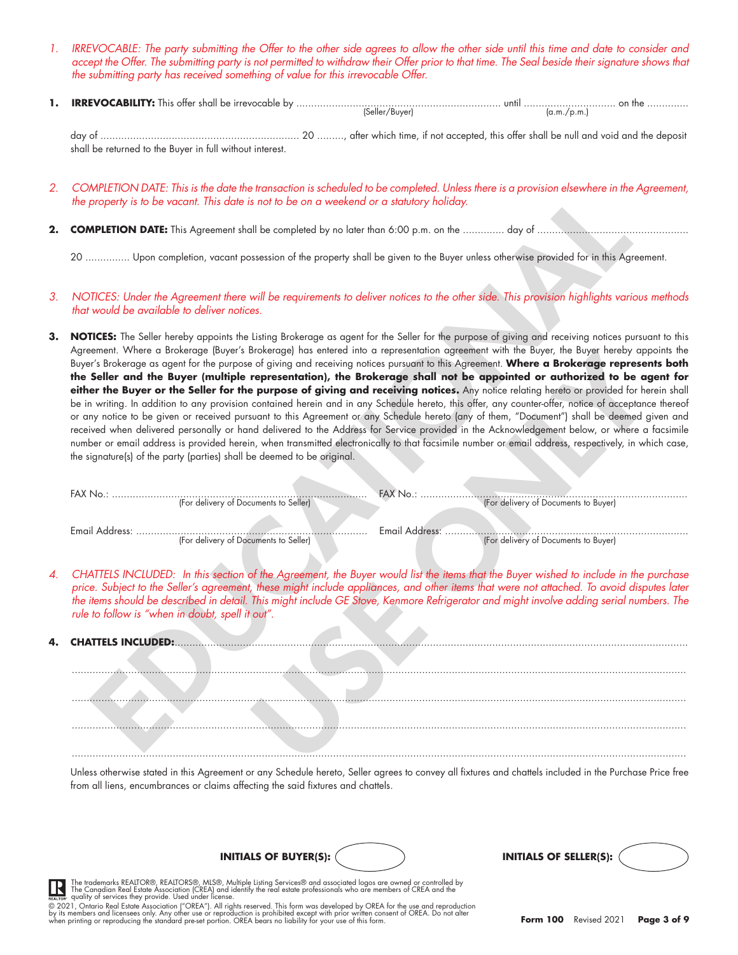- *1. IRREVOCABLE: The party submitting the Offer to the other side agrees to allow the other side until this time and date to consider and*  accept the Offer. The submitting party is not permitted to withdraw their Offer prior to that time. The Seal beside their signature shows that *the submitting party has received something of value for this irrevocable Offer.*
- **1. IRREVOCABILITY:** This offer shall be irrevocable by ..................................................................... until ............................... on the .............. (Seller/Buyer) (a.m./p.m.)

day of ................................................................... 20 ........., after which time, if not accepted, this offer shall be null and void and the deposit shall be returned to the Buyer in full without interest.

- *2. COMPLETION DATE: This is the date the transaction is scheduled to be completed. Unless there is a provision elsewhere in the Agreement, the property is to be vacant. This date is not to be on a weekend or a statutory holiday.*
- **2. COMPLETION DATE:** This Agreement shall be completed by no later than 6:00 p.m. on the .............. day of ...................................................

20 ............... Upon completion, vacant possession of the property shall be given to the Buyer unless otherwise provided for in this Agreement.

- *3. NOTICES: Under the Agreement there will be requirements to deliver notices to the other side. This provision highlights various methods that would be available to deliver notices.*
- encept to to be vectoral that be to a second for a second of a stability, heliday, and yet also the second for a stability heliday, and the maximum of the second for a stability in the second of the second for a stability **3. NOTICES:** The Seller hereby appoints the Listing Brokerage as agent for the Seller for the purpose of giving and receiving notices pursuant to this Agreement. Where a Brokerage (Buyer's Brokerage) has entered into a representation agreement with the Buyer, the Buyer hereby appoints the Buyer's Brokerage as agent for the purpose of giving and receiving notices pursuant to this Agreement. **Where a Brokerage represents both the Seller and the Buyer (multiple representation), the Brokerage shall not be appointed or authorized to be agent for**  either the Buyer or the Seller for the purpose of giving and receiving notices. Any notice relating hereto or provided for herein shall be in writing. In addition to any provision contained herein and in any Schedule hereto, this offer, any counter-offer, notice of acceptance thereof or any notice to be given or received pursuant to this Agreement or any Schedule hereto (any of them, "Document") shall be deemed given and received when delivered personally or hand delivered to the Address for Service provided in the Acknowledgement below, or where a facsimile number or email address is provided herein, when transmitted electronically to that facsimile number or email address, respectively, in which case, the signature(s) of the party (parties) shall be deemed to be original.

| $FAX$ $No.$                           | $FAX N_0$ .                          |
|---------------------------------------|--------------------------------------|
| (For delivery of Documents to Seller) | (For delivery of Documents to Buyer) |
| Email Address:                        | Fmail Address:                       |
| (For delivery of Documents to Seller) | (For delivery of Documents to Buyer) |
|                                       |                                      |

|    | Agreement. Where a Brokerage (Buyer's Brokerage) has entered into a representation agreement with the Buyer, the Buyer hereby appoints the<br>Buyer's Brokerage as agent for the purpose of giving and receiving notices pursuant to this Agreement. Where a Brokerage represents both                                                                                                                                                                                                                                                                                                                                                                                                                                                                                                                                                                                                                                                                    |
|----|-----------------------------------------------------------------------------------------------------------------------------------------------------------------------------------------------------------------------------------------------------------------------------------------------------------------------------------------------------------------------------------------------------------------------------------------------------------------------------------------------------------------------------------------------------------------------------------------------------------------------------------------------------------------------------------------------------------------------------------------------------------------------------------------------------------------------------------------------------------------------------------------------------------------------------------------------------------|
|    | the Seller and the Buyer (multiple representation), the Brokerage shall not be appointed or authorized to be agent for<br>either the Buyer or the Seller for the purpose of giving and receiving notices. Any notice relating hereto or provided for herein shall<br>be in writing. In addition to any provision contained herein and in any Schedule hereto, this offer, any counter-offer, notice of acceptance thereof<br>or any notice to be given or received pursuant to this Agreement or any Schedule hereto (any of them, "Document") shall be deemed given and<br>received when delivered personally or hand delivered to the Address for Service provided in the Acknowledgement below, or where a facsimile<br>number or email address is provided herein, when transmitted electronically to that facsimile number or email address, respectively, in which case,<br>the signature(s) of the party (parties) shall be deemed to be original. |
|    | <b>FAX No.: </b><br>$\begin{array}{ll}\n\textsf{FAX No.}: \textit{} \textsf{} \textsf{} \textsf{} \textsf{} \textsf{} \textsf{} \textsf{} \textsf{} \textsf{} \textsf{} \textsf{} \textsf{} \textsf{} \textsf{} \textsf{} \textsf{} \textsf{} \textsf{} \textsf{} \textsf{} \textsf{} \textsf{} \textsf{} \textsf{} \textsf{} \textsf{} \textsf{} \textsf{} \textsf{} \textsf{} \textsf{} \textsf{} \textsf$<br>(For delivery of Documents to Buyer)                                                                                                                                                                                                                                                                                                                                                                                                                                                                                                      |
|    | Email Address:<br>(For delivery of Documents to Buyer)                                                                                                                                                                                                                                                                                                                                                                                                                                                                                                                                                                                                                                                                                                                                                                                                                                                                                                    |
| 4. | CHATTELS INCLUDED: In this section of the Agreement, the Buyer would list the items that the Buyer wished to include in the purchase<br>price. Subject to the Seller's agreement, these might include appliances, and other items that were not attached. To avoid disputes later<br>the items should be described in detail. This might include GE Stove, Kenmore Refrigerator and might involve adding serial numbers. The<br>rule to follow is "when in doubt, spell it out".                                                                                                                                                                                                                                                                                                                                                                                                                                                                          |
|    | <b>CHATTELS INCLUDED: </b>                                                                                                                                                                                                                                                                                                                                                                                                                                                                                                                                                                                                                                                                                                                                                                                                                                                                                                                                |
|    |                                                                                                                                                                                                                                                                                                                                                                                                                                                                                                                                                                                                                                                                                                                                                                                                                                                                                                                                                           |
|    |                                                                                                                                                                                                                                                                                                                                                                                                                                                                                                                                                                                                                                                                                                                                                                                                                                                                                                                                                           |
|    |                                                                                                                                                                                                                                                                                                                                                                                                                                                                                                                                                                                                                                                                                                                                                                                                                                                                                                                                                           |

Unless otherwise stated in this Agreement or any Schedule hereto, Seller agrees to convey all fixtures and chattels included in the Purchase Price free from all liens, encumbrances or claims affecting the said fixtures and chattels.



The trademarks REALTOR®, REALTORS®, MLS®, Multiple Listing Services® and associated logos are owned or controlled by<br>The Canadian Real Estate Association (CREA) and identify the real estate professionals who are members of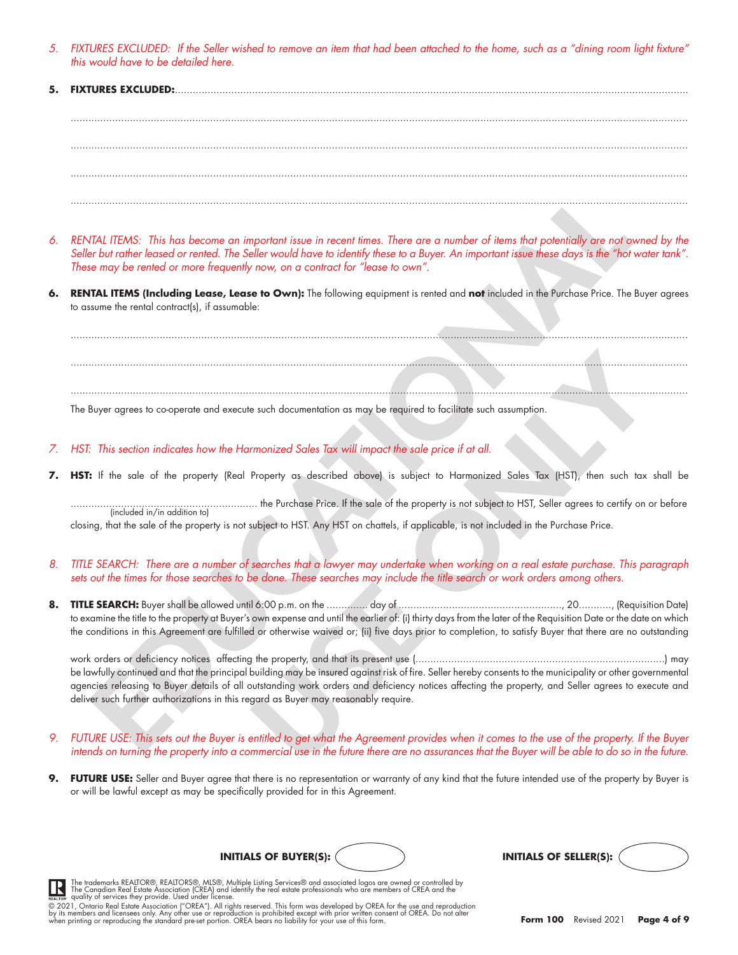*5. FIXTURES EXCLUDED: If the Seller wished to remove an item that had been attached to the home, such as a "dining room light fixture" this would have to be detailed here.* 

| <b>5. FIXTURES EXCLUDED:</b> |
|------------------------------|
|                              |
|                              |
|                              |
|                              |
|                              |
|                              |
|                              |
|                              |
|                              |

- *6. RENTAL ITEMS: This has become an important issue in recent times. There are a number of items that potentially are not owned by the Seller but rather leased or rented. The Seller would have to identify these to a Buyer. An important issue these days is the "hot water tank". These may be rented or more frequently now, on a contract for "lease to own".*
- **6. RENTAL ITEMS (Including Lease, Lease to Own):** The following equipment is rented and **not** included in the Purchase Price. The Buyer agrees to assume the rental contract(s), if assumable:

................................................................................................................................................................................................................

................................................................................................................................................................................................................

................................................................................................................................................................................................................ The Buyer agrees to co-operate and execute such documentation as may be required to facilitate such assumption.

- *7. HST: This section indicates how the Harmonized Sales Tax will impact the sale price if at all.*
- **7. HST:** If the sale of the property (Real Property as described above) is subject to Harmonized Sales Tax (HST), then such tax shall be

............................................................... the Purchase Price. If the sale of the property is not subject to HST, Seller agrees to certify on or before (included in/in addition to) closing, that the sale of the property is not subject to HST. Any HST on chattels, if applicable, is not included in the Purchase Price.

#### *8. TITLE SEARCH: There are a number of searches that a lawyer may undertake when working on a real estate purchase. This paragraph sets out the times for those searches to be done. These searches may include the title search or work orders among others.*

**8. TITLE SEARCH:** Buyer shall be allowed until 6:00 p.m. on the .............. day of ......................................................., 20..........., (Requisition Date) to examine the title to the property at Buyer's own expense and until the earlier of: (i) thirty days from the later of the Requisition Date or the date on which the conditions in this Agreement are fulfilled or otherwise waived or; (ii) five days prior to completion, to satisfy Buyer that there are no outstanding

ITAL ITEMS: This has become an important issue in recent times. There are a number of items that potentially last not of the most of the Seleir words the burstine in the Seleir words in the Seleir words are property to a c e such documentation as may be required to facilitate such assumption.<br>
The procedure of Scher Content of the sale price if at all.<br>
Property as described above) is subject to Harmonized Soles Tax (HST), then such tax<br>
... work orders or deficiency notices affecting the property, and that its present use (....................................................................................) may be lawfully continued and that the principal building may be insured against risk of fire. Seller hereby consents to the municipality or other governmental agencies releasing to Buyer details of all outstanding work orders and deficiency notices affecting the property, and Seller agrees to execute and deliver such further authorizations in this regard as Buyer may reasonably require.

- *9. FUTURE USE: This sets out the Buyer is entitled to get what the Agreement provides when it comes to the use of the property. If the Buyer intends on turning the property into a commercial use in the future there are no assurances that the Buyer will be able to do so in the future.*
- **9. FUTURE USE:** Seller and Buyer agree that there is no representation or warranty of any kind that the future intended use of the property by Buyer is or will be lawful except as may be specifically provided for in this Agreement.





The trademarks REALTOR®, REALTORS®, MLS®, Multiple Listing Services® and associated logos are owned or controlled by<br>The Canadian Real Estate Association (CREA) and identify the real estate professionals who are members of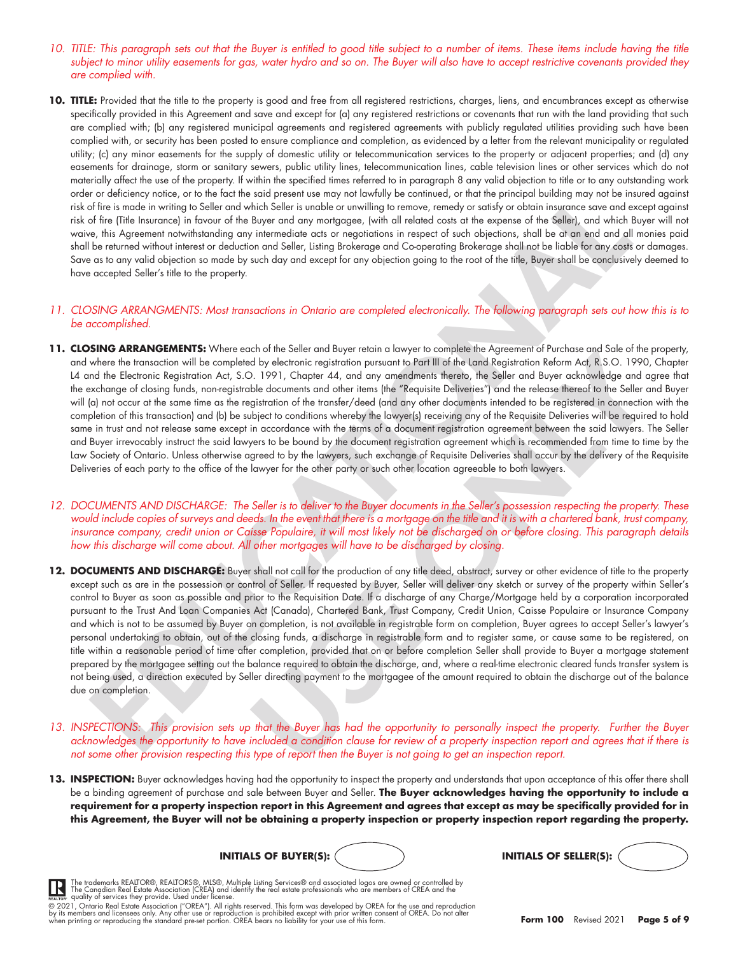- *10.* TITLE: This paragraph sets out that the Buyer is entitled to good title subject to a number of items. These items include having the title *subject to minor utility easements for gas, water hydro and so on. The Buyer will also have to accept restrictive covenants provided they are complied with.*
- **10. TITLE:** Provided that the title to the property is good and free from all registered restrictions, charges, liens, and encumbrances except as otherwise specifically provided in this Agreement and save and except for (a) any registered restrictions or covenants that run with the land providing that such are complied with; (b) any registered municipal agreements and registered agreements with publicly regulated utilities providing such have been complied with, or security has been posted to ensure compliance and completion, as evidenced by a letter from the relevant municipality or regulated utility; (c) any minor easements for the supply of domestic utility or telecommunication services to the property or adjacent properties; and (d) any easements for drainage, storm or sanitary sewers, public utility lines, telecommunication lines, cable television lines or other services which do not materially affect the use of the property. If within the specified times referred to in paragraph 8 any valid objection to title or to any outstanding work order or deficiency notice, or to the fact the said present use may not lawfully be continued, or that the principal building may not be insured against risk of fire is made in writing to Seller and which Seller is unable or unwilling to remove, remedy or satisfy or obtain insurance save and except against risk of fire (Title Insurance) in favour of the Buyer and any mortgagee, (with all related costs at the expense of the Seller), and which Buyer will not waive, this Agreement notwithstanding any intermediate acts or negotiations in respect of such objections, shall be at an end and all monies paid shall be returned without interest or deduction and Seller, Listing Brokerage and Co-operating Brokerage shall not be liable for any costs or damages. Save as to any valid objection so made by such day and except for any objection going to the root of the title, Buyer shall be conclusively deemed to have accepted Seller's title to the property.
- *11. CLOSING ARRANGMENTS: Most transactions in Ontario are completed electronically. The following paragraph sets out how this is to be accomplished.*
- r or elations or the the the the state phoenix us may releave the whole to encominate or the highest and the property interest and the the state of the state of the state of the state of the state of the state of the state 11. CLOSING ARRANGEMENTS: Where each of the Seller and Buyer retain a lawyer to complete the Agreement of Purchase and Sale of the property, and where the transaction will be completed by electronic registration pursuant to Part III of the Land Registration Reform Act, R.S.O. 1990, Chapter L4 and the Electronic Registration Act, S.O. 1991, Chapter 44, and any amendments thereto, the Seller and Buyer acknowledge and agree that the exchange of closing funds, non-registrable documents and other items (the "Requisite Deliveries") and the release thereof to the Seller and Buyer will (a) not occur at the same time as the registration of the transfer/deed (and any other documents intended to be registered in connection with the completion of this transaction) and (b) be subject to conditions whereby the lawyer(s) receiving any of the Requisite Deliveries will be required to hold same in trust and not release same except in accordance with the terms of a document registration agreement between the said lawyers. The Seller and Buyer irrevocably instruct the said lawyers to be bound by the document registration agreement which is recommended from time to time by the Law Society of Ontario. Unless otherwise agreed to by the lawyers, such exchange of Requisite Deliveries shall occur by the delivery of the Requisite Deliveries of each party to the office of the lawyer for the other party or such other location agreeable to both lawyers.
- *12. DOCUMENTS AND DISCHARGE: The Seller is to deliver to the Buyer documents in the Seller's possession respecting the property. These would include copies of surveys and deeds. In the event that there is a mortgage on the title and it is with a chartered bank, trust company, insurance company, credit union or Caisse Populaire, it will most likely not be discharged on or before closing. This paragraph details how this discharge will come about. All other mortgages will have to be discharged by closing.*
- ch of the believe and buyer fretama lawyer from complete the Agreement of Purchase and Solar of the polarism of the Sultar of the Sultar Christophetics of the Sultar Sultar Christophetics of the Sultar Christophetics of th 12. DOCUMENTS AND DISCHARGE: Buyer shall not call for the production of any title deed, abstract, survey or other evidence of title to the property except such as are in the possession or control of Seller. If requested by Buyer, Seller will deliver any sketch or survey of the property within Seller's control to Buyer as soon as possible and prior to the Requisition Date. If a discharge of any Charge/Mortgage held by a corporation incorporated pursuant to the Trust And Loan Companies Act (Canada), Chartered Bank, Trust Company, Credit Union, Caisse Populaire or Insurance Company and which is not to be assumed by Buyer on completion, is not available in registrable form on completion, Buyer agrees to accept Seller's lawyer's personal undertaking to obtain, out of the closing funds, a discharge in registrable form and to register same, or cause same to be registered, on title within a reasonable period of time after completion, provided that on or before completion Seller shall provide to Buyer a mortgage statement prepared by the mortgagee setting out the balance required to obtain the discharge, and, where a real-time electronic cleared funds transfer system is not being used, a direction executed by Seller directing payment to the mortgagee of the amount required to obtain the discharge out of the balance due on completion.
- *13. INSPECTIONS: This provision sets up that the Buyer has had the opportunity to personally inspect the property. Further the Buyer acknowledges the opportunity to have included a condition clause for review of a property inspection report and agrees that if there is not some other provision respecting this type of report then the Buyer is not going to get an inspection report.*
- 13. **INSPECTION:** Buyer acknowledges having had the opportunity to inspect the property and understands that upon acceptance of this offer there shall be a binding agreement of purchase and sale between Buyer and Seller. **The Buyer acknowledges having the opportunity to include a requirement for a property inspection report in this Agreement and agrees that except as may be specifically provided for in this Agreement, the Buyer will not be obtaining a property inspection or property inspection report regarding the property.**





The trademarks REALTOR®, REALTORS®, MLS®, Multiple Listing Services® and associated logos are owned or controlled by<br>The Canadian Real Estate Association (CREA) and identify the real estate professionals who are members of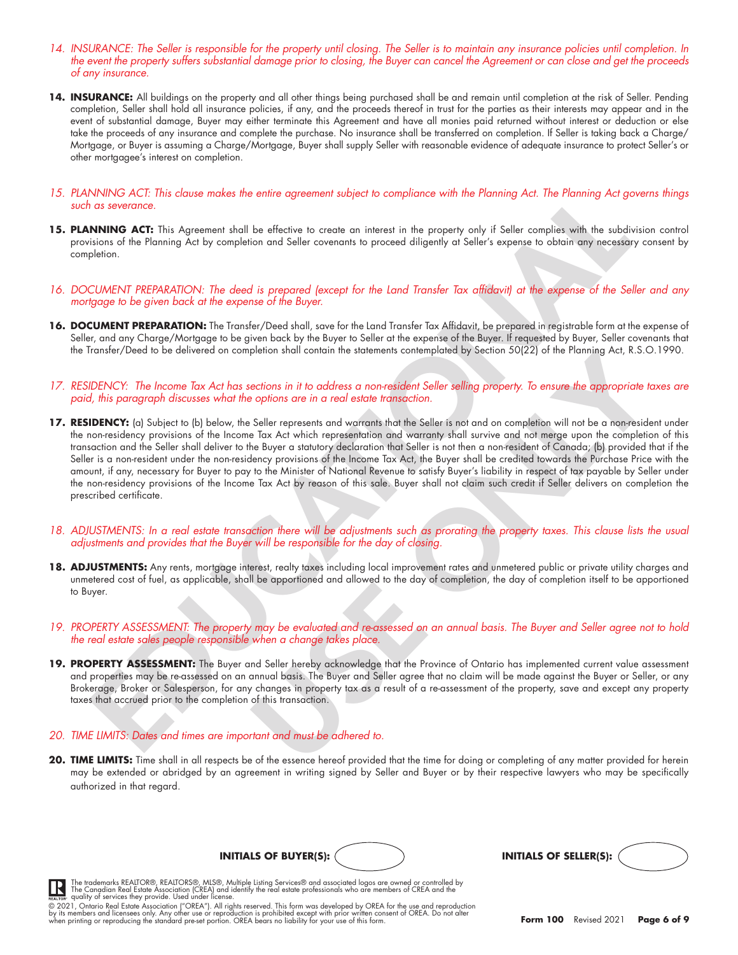- *14. INSURANCE: The Seller is responsible for the property until closing. The Seller is to maintain any insurance policies until completion. In the event the property suffers substantial damage prior to closing, the Buyer can cancel the Agreement or can close and get the proceeds of any insurance.*
- **14. INSURANCE:** All buildings on the property and all other things being purchased shall be and remain until completion at the risk of Seller. Pending completion, Seller shall hold all insurance policies, if any, and the proceeds thereof in trust for the parties as their interests may appear and in the event of substantial damage, Buyer may either terminate this Agreement and have all monies paid returned without interest or deduction or else take the proceeds of any insurance and complete the purchase. No insurance shall be transferred on completion. If Seller is taking back a Charge/ Mortgage, or Buyer is assuming a Charge/Mortgage, Buyer shall supply Seller with reasonable evidence of adequate insurance to protect Seller's or other mortgagee's interest on completion.
- *15. PLANNING ACT: This clause makes the entire agreement subject to compliance with the Planning Act. The Planning Act governs things such as severance.*
- **15. PLANNING ACT:** This Agreement shall be effective to create an interest in the property only if Seller complies with the subdivision control provisions of the Planning Act by completion and Seller covenants to proceed diligently at Seller's expense to obtain any necessary consent by completion.
- *16. DOCUMENT PREPARATION: The deed is prepared (except for the Land Transfer Tax affidavit) at the expense of the Seller and any mortgage to be given back at the expense of the Buyer.*
- **16. DOCUMENT PREPARATION:** The Transfer/Deed shall, save for the Land Transfer Tax Affidavit, be prepared in registrable form at the expense of Seller, and any Charge/Mortgage to be given back by the Buyer to Seller at the expense of the Buyer. If requested by Buyer, Seller covenants that the Transfer/Deed to be delivered on completion shall contain the statements contemplated by Section 50(22) of the Planning Act, R.S.O.1990.
- *17.* RESIDENCY: The Income Tax Act has sections in it to address a non-resident Seller selling property. To ensure the appropriate taxes are *paid, this paragraph discusses what the options are in a real estate transaction.*
- NYNNO ACC. The change motes the entire dependent subject to complete event the framing Act. The Homming Act particles Act This Agreement to the property only if Seller compatibility ACT lines (act This Agreement to the dis pletion shall contain the statements contemplated by Section 30(22) of the Planning Act, K.S.O<br>ections in it to address a non-resident Seller selling property. To ensure the appropriate to<br>episons are in a real estate tran **17. RESIDENCY:** (a) Subject to (b) below, the Seller represents and warrants that the Seller is not and on completion will not be a non-resident under the non-residency provisions of the Income Tax Act which representation and warranty shall survive and not merge upon the completion of this transaction and the Seller shall deliver to the Buyer a statutory declaration that Seller is not then a non-resident of Canada; (b) provided that if the Seller is a non-resident under the non-residency provisions of the Income Tax Act, the Buyer shall be credited towards the Purchase Price with the amount, if any, necessary for Buyer to pay to the Minister of National Revenue to satisfy Buyer's liability in respect of tax payable by Seller under the non-residency provisions of the Income Tax Act by reason of this sale. Buyer shall not claim such credit if Seller delivers on completion the prescribed certificate.
- *18. ADJUSTMENTS: In a real estate transaction there will be adjustments such as prorating the property taxes. This clause lists the usual adjustments and provides that the Buyer will be responsible for the day of closing.*
- 18. ADJUSTMENTS: Any rents, mortgage interest, realty taxes including local improvement rates and unmetered public or private utility charges and unmetered cost of fuel, as applicable, shall be apportioned and allowed to the day of completion, the day of completion itself to be apportioned to Buyer.
- *19. PROPERTY ASSESSMENT: The property may be evaluated and re-assessed on an annual basis. The Buyer and Seller agree not to hold the real estate sales people responsible when a change takes place.*
- 19. PROPERTY ASSESSMENT: The Buyer and Seller hereby acknowledge that the Province of Ontario has implemented current value assessment and properties may be re-assessed on an annual basis. The Buyer and Seller agree that no claim will be made against the Buyer or Seller, or any Brokerage, Broker or Salesperson, for any changes in property tax as a result of a re-assessment of the property, save and except any property taxes that accrued prior to the completion of this transaction.
- *20. TIME LIMITS: Dates and times are important and must be adhered to.*
- **20. TIME LIMITS:** Time shall in all respects be of the essence hereof provided that the time for doing or completing of any matter provided for herein may be extended or abridged by an agreement in writing signed by Seller and Buyer or by their respective lawyers who may be specifically authorized in that regard.





The trademarks REALTOR®, REALTORS®, MLS®, Multiple Listing Services® and associated logos are owned or controlled by<br>The Canadian Real Estate Association (CREA) and identify the real estate professionals who are members of IK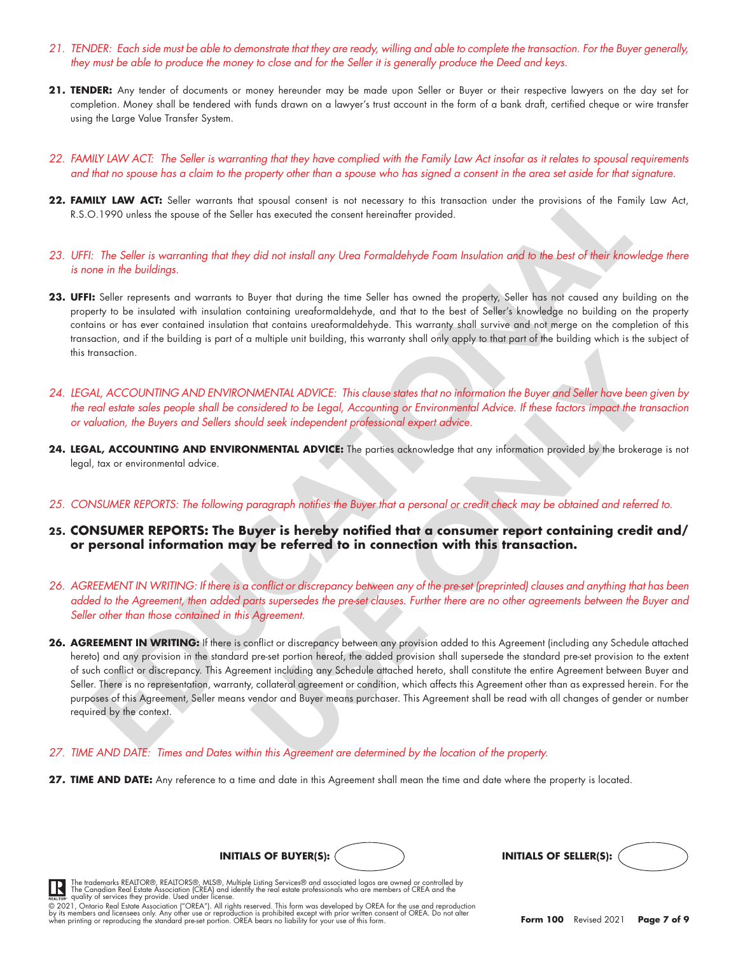- *21. TENDER: Each side must be able to demonstrate that they are ready, willing and able to complete the transaction. For the Buyer generally, they must be able to produce the money to close and for the Seller it is generally produce the Deed and keys.*
- **21. TENDER:** Any tender of documents or money hereunder may be made upon Seller or Buyer or their respective lawyers on the day set for completion. Money shall be tendered with funds drawn on a lawyer's trust account in the form of a bank draft, certified cheque or wire transfer using the Large Value Transfer System.
- *22. FAMILY LAW ACT: The Seller is warranting that they have complied with the Family Law Act insofar as it relates to spousal requirements and that no spouse has a claim to the property other than a spouse who has signed a consent in the area set aside for that signature.*
- **22. FAMILY LAW ACT:** Seller warrants that spousal consent is not necessary to this transaction under the provisions of the Family Law Act, R.S.O.1990 unless the spouse of the Seller has executed the consent hereinafter provided.
- *23. UFFI: The Seller is warranting that they did not install any Urea Formaldehyde Foam Insulation and to the best of their knowledge there is none in the buildings.*
- **23. UFFI:** Seller represents and warrants to Buyer that during the time Seller has owned the property, Seller has not caused any building on the property to be insulated with insulation containing ureaformaldehyde, and that to the best of Seller's knowledge no building on the property contains or has ever contained insulation that contains ureaformaldehyde. This warranty shall survive and not merge on the completion of this transaction, and if the building is part of a multiple unit building, this warranty shall only apply to that part of the building which is the subject of this transaction.
- *24. LEGAL, ACCOUNTING AND ENVIRONMENTAL ADVICE: This clause states that no information the Buyer and Seller have been given by the real estate sales people shall be considered to be Legal, Accounting or Environmental Advice. If these factors impact the transaction or valuation, the Buyers and Sellers should seek independent professional expert advice.*
- **24. LEGAL, ACCOUNTING AND ENVIRONMENTAL ADVICE:** The parties acknowledge that any information provided by the brokerage is not legal, tax or environmental advice.
- *25. CONSUMER REPORTS: The following paragraph notifies the Buyer that a personal or credit check may be obtained and referred to.*
- **25. CONSUMER REPORTS: The Buyer is hereby notified that a consumer report containing credit and/ or personal information may be referred to in connection with this transaction.**
- *26. AGREEMENT IN WRITING: If there is a conflict or discrepancy between any of the pre-set (preprinted) clauses and anything that has been added to the Agreement, then added parts supersedes the pre-set clauses. Further there are no other agreements between the Buyer and Seller other than those contained in this Agreement.*
- **ILIV AW ACT:** Seller warrants that popula carries to an recessory to this tensaction and is the provisions of the Fam<br>
The View and the Seller is very seller for some total and the consent between the projection and the f NMENTAL ADVICE: This clause states that no information the Buyer and Seller have been sistered to be legal, Accounting or Environmental Advice. If these factors impact the transmissional expert advice.<br> **NMENTAL ADVICE:** T **26. AGREEMENT IN WRITING:** If there is conflict or discrepancy between any provision added to this Agreement (including any Schedule attached hereto) and any provision in the standard pre-set portion hereof, the added provision shall supersede the standard pre-set provision to the extent of such conflict or discrepancy. This Agreement including any Schedule attached hereto, shall constitute the entire Agreement between Buyer and Seller. There is no representation, warranty, collateral agreement or condition, which affects this Agreement other than as expressed herein. For the purposes of this Agreement, Seller means vendor and Buyer means purchaser. This Agreement shall be read with all changes of gender or number required by the context.
- *27. TIME AND DATE: Times and Dates within this Agreement are determined by the location of the property.*
- **27. TIME AND DATE:** Any reference to a time and date in this Agreement shall mean the time and date where the property is located.





The trademarks REALTOR®, REALTORS®, MLS®, Multiple Listing Services® and associated logos are owned or controlled by<br>The Canadian Real Estate Association (CREA) and identify the real estate professionals who are members of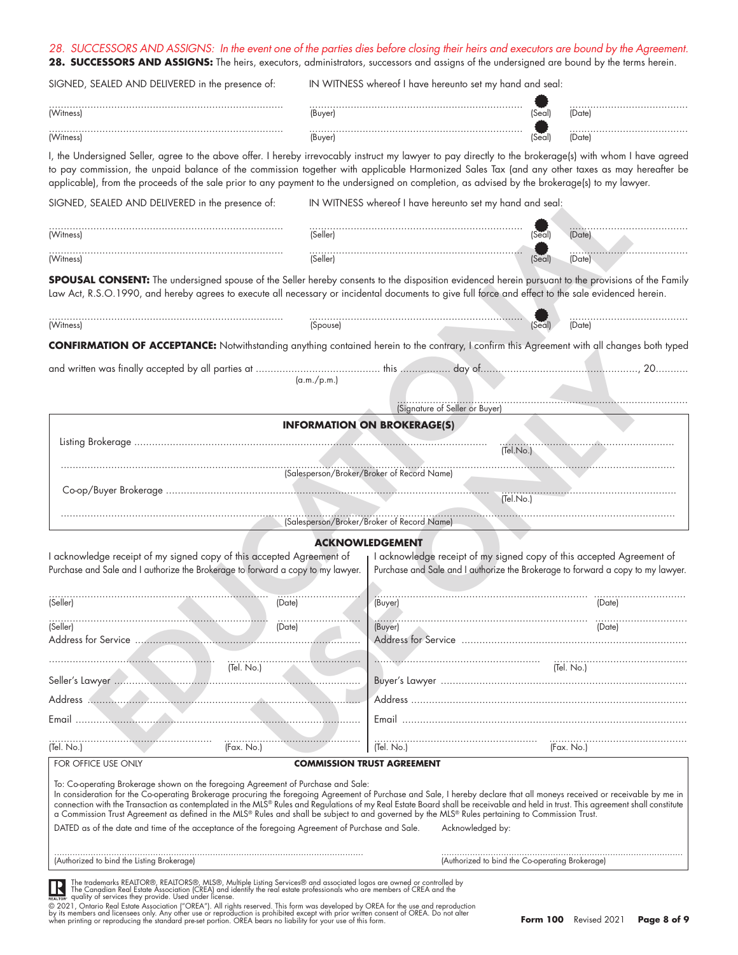#### *28. SUCCESSORS AND ASSIGNS: In the event one of the parties dies before closing their heirs and executors are bound by the Agreement.*

**28. SUCCESSORS AND ASSIGNS:** The heirs, executors, administrators, successors and assigns of the undersigned are bound by the terms herein.

| SIGNED, SEALED AND DELIVERED in the presence of: | IN WITNESS whereof I have hereunto set my hand and seal: |      |        |
|--------------------------------------------------|----------------------------------------------------------|------|--------|
|                                                  |                                                          |      |        |
| (Witness)                                        | Buyer                                                    | Seal | (Date) |
| (Witness <sub>)</sub>                            | Buyer                                                    |      | (Date) |

I, the Undersigned Seller, agree to the above offer. I hereby irrevocably instruct my lawyer to pay directly to the brokerage(s) with whom I have agreed to pay commission, the unpaid balance of the commission together with applicable Harmonized Sales Tax (and any other taxes as may hereafter be applicable), from the proceeds of the sale prior to any payment to the undersigned on completion, as advised by the brokerage(s) to my lawyer.

| <b>COOLICAL CONICENT</b> , The understanded crosses of the Saller hereby consents to the disposition outdoned herein murdiale to the provisions of the Equal to |                                                          |        |
|-----------------------------------------------------------------------------------------------------------------------------------------------------------------|----------------------------------------------------------|--------|
| (Witness)                                                                                                                                                       | 'Seller                                                  | 'Date, |
|                                                                                                                                                                 |                                                          |        |
| (Witness)                                                                                                                                                       | 'Seller                                                  | 'Date, |
|                                                                                                                                                                 |                                                          |        |
|                                                                                                                                                                 |                                                          |        |
| SIGNED, SEALED AND DELIVERED in the presence of:                                                                                                                | IN WITNESS whereof I have hereunto set my hand and seal: |        |

| .              |     |  |
|----------------|-----|--|
| $\mathbf{A}$ . |     |  |
|                | וור |  |
| ____           |     |  |

| and written was finally accepted by all parties at |  |  |
|----------------------------------------------------|--|--|
|                                                    |  |  |

| (a.m./p.m.) |  |
|-------------|--|
|-------------|--|

| (Signature of Seller or Buyer)             |          |
|--------------------------------------------|----------|
| <b>INFORMATION ON BROKERAGE(S)</b>         |          |
|                                            | lTel No. |
| (Salesperson/Broker/Broker of Record Name) |          |
|                                            | (Tel.No. |
| (Salesperson/Broker/Broker of Record Name) |          |

#### **ACKNOWLEDGEMENT**

| SIGNED, SEALED AND DELIVERED in the presence of:                                                                                                                                                                                                                                                                                                                                                                                                                                                                                                                                                                                                                                                                                      |                              |                                                                      | IN WITNESS whereof I have hereunto set my hand and seal: |                                                                                                                                                          |
|---------------------------------------------------------------------------------------------------------------------------------------------------------------------------------------------------------------------------------------------------------------------------------------------------------------------------------------------------------------------------------------------------------------------------------------------------------------------------------------------------------------------------------------------------------------------------------------------------------------------------------------------------------------------------------------------------------------------------------------|------------------------------|----------------------------------------------------------------------|----------------------------------------------------------|----------------------------------------------------------------------------------------------------------------------------------------------------------|
| (Witness)                                                                                                                                                                                                                                                                                                                                                                                                                                                                                                                                                                                                                                                                                                                             | (Seller)                     |                                                                      | (S <sub>cal</sub> )                                      | (Date)                                                                                                                                                   |
| (Witness)                                                                                                                                                                                                                                                                                                                                                                                                                                                                                                                                                                                                                                                                                                                             | (Seller)                     |                                                                      | (Seal)                                                   | (Date)                                                                                                                                                   |
| <b>SPOUSAL CONSENT:</b> The undersigned spouse of the Seller hereby consents to the disposition evidenced herein pursuant to the provisions of the Family<br>Law Act, R.S.O.1990, and hereby agrees to execute all necessary or incidental documents to give full force and effect to the sale evidenced herein.                                                                                                                                                                                                                                                                                                                                                                                                                      |                              |                                                                      |                                                          |                                                                                                                                                          |
| (Witness)                                                                                                                                                                                                                                                                                                                                                                                                                                                                                                                                                                                                                                                                                                                             | $\overline{\text{(Spouse)}}$ |                                                                      | (Seal)                                                   | (Date)                                                                                                                                                   |
| <b>CONFIRMATION OF ACCEPTANCE:</b> Notwithstanding anything contained herein to the contrary, I confirm this Agreement with all changes both typed                                                                                                                                                                                                                                                                                                                                                                                                                                                                                                                                                                                    |                              |                                                                      |                                                          |                                                                                                                                                          |
|                                                                                                                                                                                                                                                                                                                                                                                                                                                                                                                                                                                                                                                                                                                                       | (a.m./p.m.)                  |                                                                      |                                                          |                                                                                                                                                          |
|                                                                                                                                                                                                                                                                                                                                                                                                                                                                                                                                                                                                                                                                                                                                       |                              | (Signature of Seller or Buyer)<br><b>INFORMATION ON BROKERAGE(S)</b> |                                                          |                                                                                                                                                          |
|                                                                                                                                                                                                                                                                                                                                                                                                                                                                                                                                                                                                                                                                                                                                       |                              |                                                                      | (Tel.No.)                                                |                                                                                                                                                          |
|                                                                                                                                                                                                                                                                                                                                                                                                                                                                                                                                                                                                                                                                                                                                       |                              | (Salesperson/Broker/Broker of Record Name)                           |                                                          |                                                                                                                                                          |
|                                                                                                                                                                                                                                                                                                                                                                                                                                                                                                                                                                                                                                                                                                                                       |                              |                                                                      | (Tel.No.)                                                |                                                                                                                                                          |
|                                                                                                                                                                                                                                                                                                                                                                                                                                                                                                                                                                                                                                                                                                                                       |                              | (Salesperson/Broker/Broker of Record Name)                           |                                                          |                                                                                                                                                          |
|                                                                                                                                                                                                                                                                                                                                                                                                                                                                                                                                                                                                                                                                                                                                       |                              | <b>ACKNOWLEDGEMENT</b>                                               |                                                          |                                                                                                                                                          |
| I acknowledge receipt of my signed copy of this accepted Agreement of<br>Purchase and Sale and I authorize the Brokerage to forward a copy to my lawyer.                                                                                                                                                                                                                                                                                                                                                                                                                                                                                                                                                                              |                              |                                                                      |                                                          | I acknowledge receipt of my signed copy of this accepted Agreement of<br>Purchase and Sale and I authorize the Brokerage to forward a copy to my lawyer. |
| (Date)<br>(Seller)                                                                                                                                                                                                                                                                                                                                                                                                                                                                                                                                                                                                                                                                                                                    |                              | (Buyer)                                                              |                                                          | (Date)                                                                                                                                                   |
| (Date)<br>(Seller)                                                                                                                                                                                                                                                                                                                                                                                                                                                                                                                                                                                                                                                                                                                    |                              | (Buyer)                                                              |                                                          | (Date)                                                                                                                                                   |
| (Tel. No.)                                                                                                                                                                                                                                                                                                                                                                                                                                                                                                                                                                                                                                                                                                                            |                              |                                                                      |                                                          | <br>(Tel. No.)                                                                                                                                           |
|                                                                                                                                                                                                                                                                                                                                                                                                                                                                                                                                                                                                                                                                                                                                       |                              |                                                                      |                                                          |                                                                                                                                                          |
|                                                                                                                                                                                                                                                                                                                                                                                                                                                                                                                                                                                                                                                                                                                                       |                              | Email                                                                |                                                          |                                                                                                                                                          |
| (Tel. No.)<br>(Fax. No.)                                                                                                                                                                                                                                                                                                                                                                                                                                                                                                                                                                                                                                                                                                              |                              | (TeI. No.)                                                           |                                                          | (Fax. No.)                                                                                                                                               |
| FOR OFFICE USE ONLY                                                                                                                                                                                                                                                                                                                                                                                                                                                                                                                                                                                                                                                                                                                   |                              | <b>COMMISSION TRUST AGREEMENT</b>                                    |                                                          |                                                                                                                                                          |
| To: Co-operating Brokerage shown on the foregoing Agreement of Purchase and Sale:<br>In consideration for the Co-operating Brokerage procuring the foregoing Agreement of Purchase and Sale, I hereby declare that all moneys received or receivable by me in<br>connection with the Transaction as contemplated in the MLS® Rules and Regulations of my Real Estate Board shall be receivable and held in trust. This agreement shall constitute<br>a Commission Trust Agreement as defined in the MLS® Rules and shall be subject to and governed by the MLS® Rules pertaining to Commission Trust.<br><b>DATED</b> as of the shate and time of the accountance of the forecasion. Approximated Durchase and Sule and Advantaged by |                              |                                                                      |                                                          |                                                                                                                                                          |

ATED as of the date and time of the acceptance of the foregoing Agreement of Purchase and Sale. Acknowledged by:

....................................................................................................................... ............................................................................................. (Authorized to bind the Listing Brokerage) (Authorized to bind the Co-operating Brokerage)

The trademarks REALTOR®, REALTORS®, MLS®, Multiple Listing Services® and associated logos are owned or controlled by<br>The Canadian Real Estate Association (CREA) and identify the real estate professionals who are members of